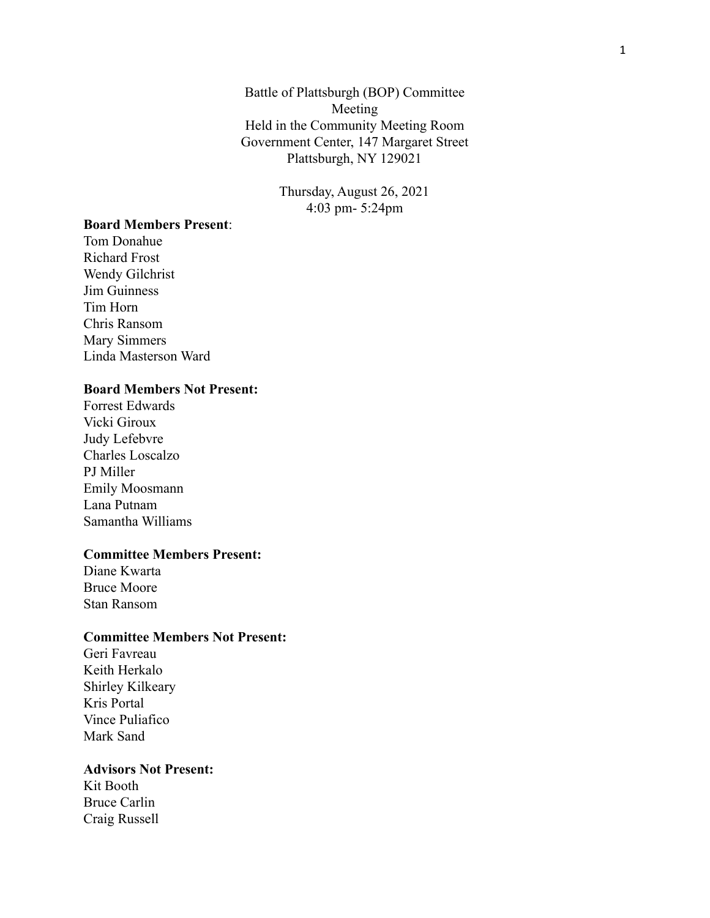Battle of Plattsburgh (BOP) Committee Meeting Held in the Community Meeting Room Government Center, 147 Margaret Street Plattsburgh, NY 129021

> Thursday, August 26, 2021 4:03 pm- 5:24pm

## **Board Members Present**:

Tom Donahue Richard Frost Wendy Gilchrist Jim Guinness Tim Horn Chris Ransom Mary Simmers Linda Masterson Ward

## **Board Members Not Present:**

Forrest Edwards Vicki Giroux Judy Lefebvre Charles Loscalzo PJ Miller Emily Moosmann Lana Putnam Samantha Williams

#### **Committee Members Present:**

Diane Kwarta Bruce Moore Stan Ransom

### **Committee Members Not Present:**

Geri Favreau Keith Herkalo Shirley Kilkeary Kris Portal Vince Puliafico Mark Sand

### **Advisors Not Present:**

Kit Booth Bruce Carlin Craig Russell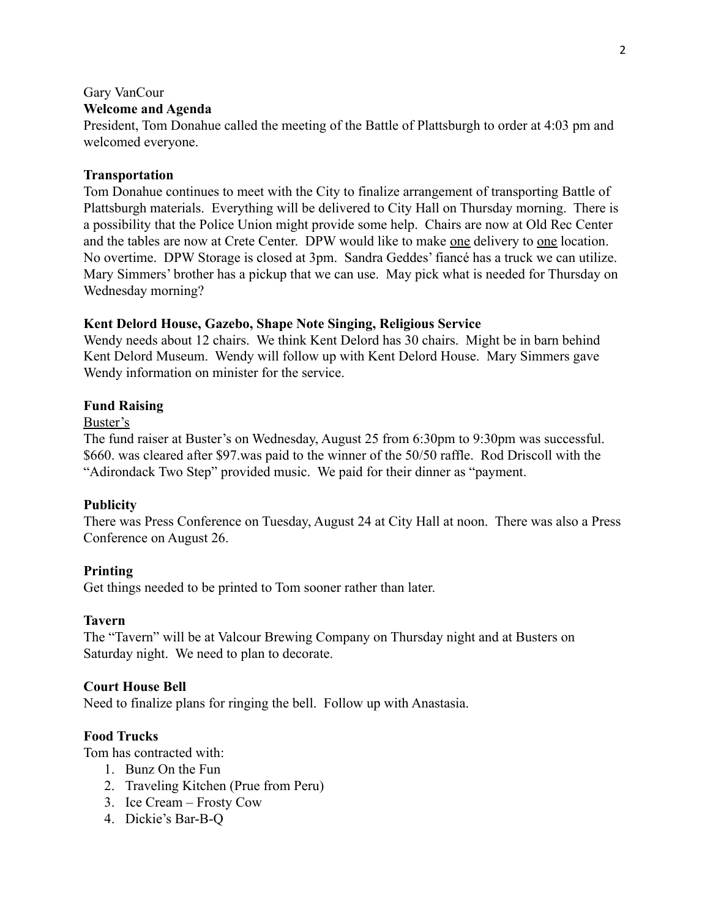### Gary VanCour

## **Welcome and Agenda**

President, Tom Donahue called the meeting of the Battle of Plattsburgh to order at 4:03 pm and welcomed everyone.

### **Transportation**

Tom Donahue continues to meet with the City to finalize arrangement of transporting Battle of Plattsburgh materials. Everything will be delivered to City Hall on Thursday morning. There is a possibility that the Police Union might provide some help. Chairs are now at Old Rec Center and the tables are now at Crete Center. DPW would like to make one delivery to one location. No overtime. DPW Storage is closed at 3pm. Sandra Geddes' fiancé has a truck we can utilize. Mary Simmers' brother has a pickup that we can use. May pick what is needed for Thursday on Wednesday morning?

### **Kent Delord House, Gazebo, Shape Note Singing, Religious Service**

Wendy needs about 12 chairs. We think Kent Delord has 30 chairs. Might be in barn behind Kent Delord Museum. Wendy will follow up with Kent Delord House. Mary Simmers gave Wendy information on minister for the service.

### **Fund Raising**

### Buster's

The fund raiser at Buster's on Wednesday, August 25 from 6:30pm to 9:30pm was successful. \$660. was cleared after \$97.was paid to the winner of the 50/50 raffle. Rod Driscoll with the "Adirondack Two Step" provided music. We paid for their dinner as "payment.

### **Publicity**

There was Press Conference on Tuesday, August 24 at City Hall at noon. There was also a Press Conference on August 26.

#### **Printing**

Get things needed to be printed to Tom sooner rather than later.

## **Tavern**

The "Tavern" will be at Valcour Brewing Company on Thursday night and at Busters on Saturday night. We need to plan to decorate.

## **Court House Bell**

Need to finalize plans for ringing the bell. Follow up with Anastasia.

### **Food Trucks**

Tom has contracted with:

- 1. Bunz On the Fun
- 2. Traveling Kitchen (Prue from Peru)
- 3. Ice Cream Frosty Cow
- 4. Dickie's Bar-B-Q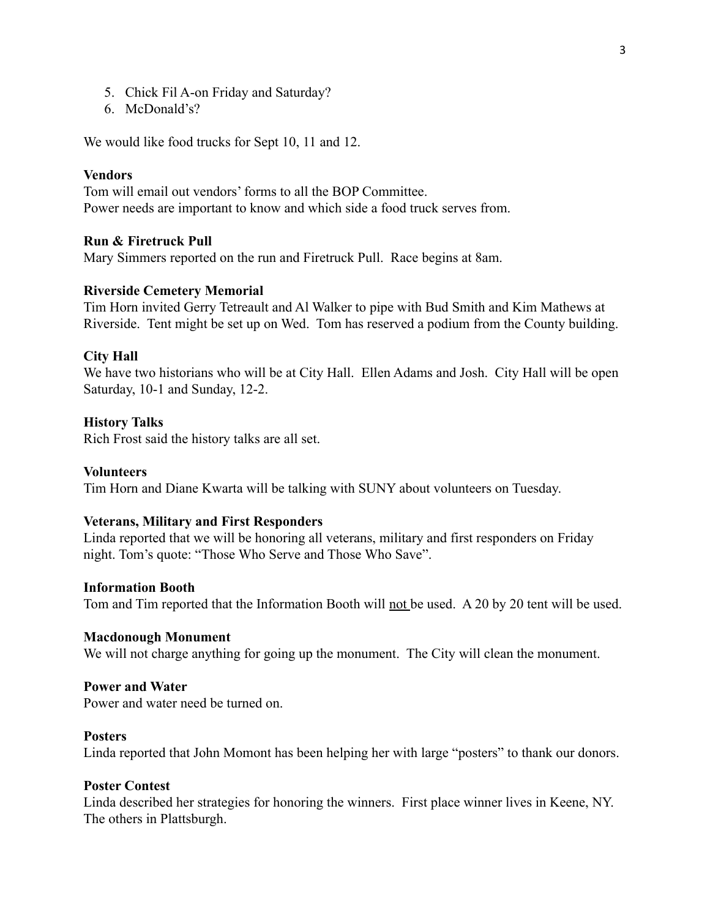- 5. Chick Fil A-on Friday and Saturday?
- 6. McDonald's?

We would like food trucks for Sept 10, 11 and 12.

### **Vendors**

Tom will email out vendors' forms to all the BOP Committee. Power needs are important to know and which side a food truck serves from.

## **Run & Firetruck Pull**

Mary Simmers reported on the run and Firetruck Pull. Race begins at 8am.

## **Riverside Cemetery Memorial**

Tim Horn invited Gerry Tetreault and Al Walker to pipe with Bud Smith and Kim Mathews at Riverside. Tent might be set up on Wed. Tom has reserved a podium from the County building.

#### **City Hall**

We have two historians who will be at City Hall. Ellen Adams and Josh. City Hall will be open Saturday, 10-1 and Sunday, 12-2.

#### **History Talks**

Rich Frost said the history talks are all set.

#### **Volunteers**

Tim Horn and Diane Kwarta will be talking with SUNY about volunteers on Tuesday.

#### **Veterans, Military and First Responders**

Linda reported that we will be honoring all veterans, military and first responders on Friday night. Tom's quote: "Those Who Serve and Those Who Save".

### **Information Booth**

Tom and Tim reported that the Information Booth will not be used. A 20 by 20 tent will be used.

#### **Macdonough Monument**

We will not charge anything for going up the monument. The City will clean the monument.

#### **Power and Water**

Power and water need be turned on.

#### **Posters**

Linda reported that John Momont has been helping her with large "posters" to thank our donors.

## **Poster Contest**

Linda described her strategies for honoring the winners. First place winner lives in Keene, NY. The others in Plattsburgh.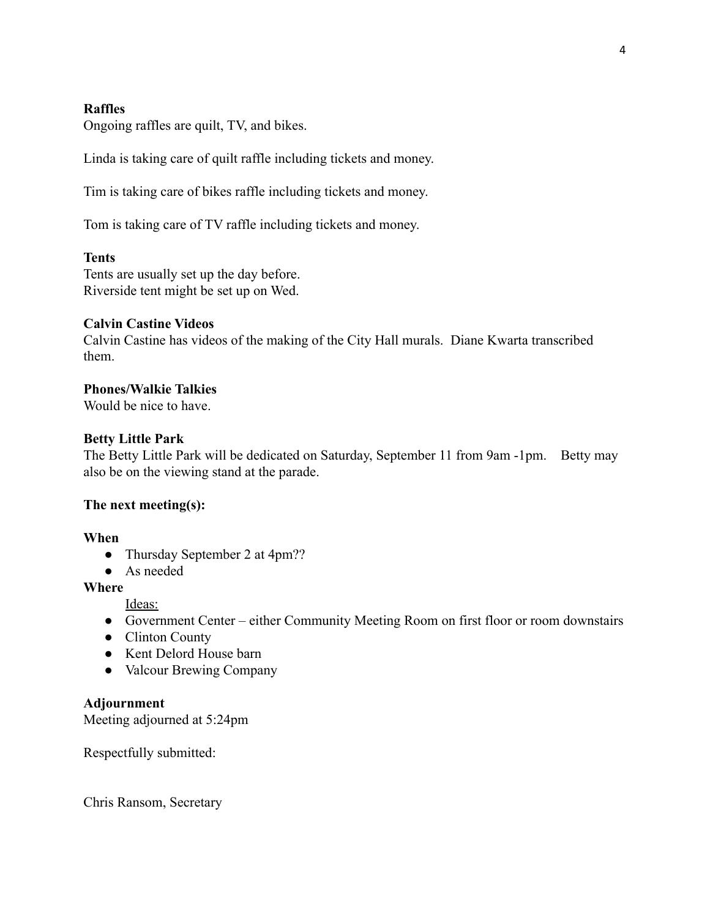## **Raffles**

Ongoing raffles are quilt, TV, and bikes.

Linda is taking care of quilt raffle including tickets and money.

Tim is taking care of bikes raffle including tickets and money.

Tom is taking care of TV raffle including tickets and money.

## **Tents**

Tents are usually set up the day before. Riverside tent might be set up on Wed.

## **Calvin Castine Videos**

Calvin Castine has videos of the making of the City Hall murals. Diane Kwarta transcribed them.

## **Phones/Walkie Talkies**

Would be nice to have.

## **Betty Little Park**

The Betty Little Park will be dedicated on Saturday, September 11 from 9am -1pm. Betty may also be on the viewing stand at the parade.

## **The next meeting(s):**

## **When**

- Thursday September 2 at 4pm??
- As needed

# **Where**

- Ideas:
- Government Center either Community Meeting Room on first floor or room downstairs
- Clinton County
- Kent Delord House barn
- Valcour Brewing Company

## **Adjournment**

Meeting adjourned at 5:24pm

Respectfully submitted:

Chris Ransom, Secretary